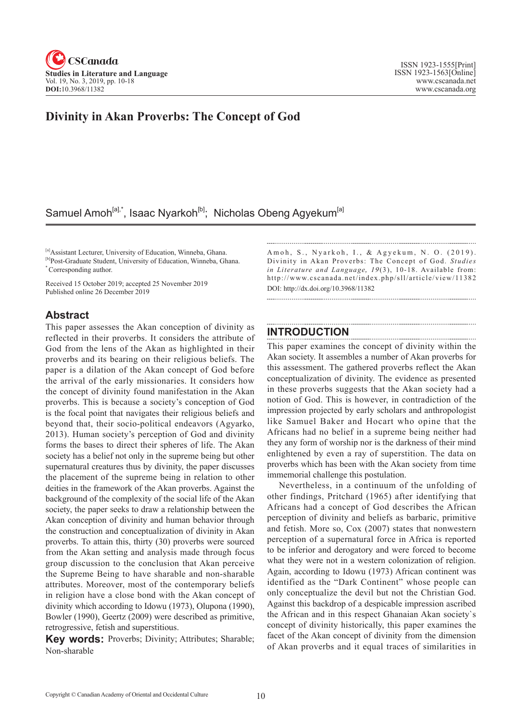

## **Divinity in Akan Proverbs: The Concept of God**

# Samuel Amoh<sup>[a],\*</sup>, Isaac Nyarkoh<sup>[b]</sup>; Nicholas Obeng Agyekum<sup>[a]</sup>

[a]Assistant Lecturer, University of Education, Winneba, Ghana. [b]Post-Graduate Student, University of Education, Winneba, Ghana. \* Corresponding author.

Received 15 October 2019; accepted 25 November 2019 Published online 26 December 2019

### **Abstract**

This paper assesses the Akan conception of divinity as reflected in their proverbs. It considers the attribute of God from the lens of the Akan as highlighted in their proverbs and its bearing on their religious beliefs. The paper is a dilation of the Akan concept of God before the arrival of the early missionaries. It considers how the concept of divinity found manifestation in the Akan proverbs. This is because a society's conception of God is the focal point that navigates their religious beliefs and beyond that, their socio-political endeavors (Agyarko, 2013). Human society's perception of God and divinity forms the bases to direct their spheres of life. The Akan society has a belief not only in the supreme being but other supernatural creatures thus by divinity, the paper discusses the placement of the supreme being in relation to other deities in the framework of the Akan proverbs. Against the background of the complexity of the social life of the Akan society, the paper seeks to draw a relationship between the Akan conception of divinity and human behavior through the construction and conceptualization of divinity in Akan proverbs. To attain this, thirty (30) proverbs were sourced from the Akan setting and analysis made through focus group discussion to the conclusion that Akan perceive the Supreme Being to have sharable and non-sharable attributes. Moreover, most of the contemporary beliefs in religion have a close bond with the Akan concept of divinity which according to Idowu (1973), Olupona (1990), Bowler (1990), Geertz (2009) were described as primitive, retrogressive, fetish and superstitious.

**Key words:** Proverbs; Divinity; Attributes; Sharable; Non-sharable

Amoh, S., Nyarkoh, I., & Agyekum, N. O. (2019). Divinity in Akan Proverbs: The Concept of God. *Studies in Literature and Language, 19(3), 10-18.* Available from: http://www.cscanada.net/index.php/sll/article/view/11382 DOI: http://dx.doi.org/10.3968/11382

### **INTRODUCTION**

This paper examines the concept of divinity within the Akan society. It assembles a number of Akan proverbs for this assessment. The gathered proverbs reflect the Akan conceptualization of divinity. The evidence as presented in these proverbs suggests that the Akan society had a notion of God. This is however, in contradiction of the impression projected by early scholars and anthropologist like Samuel Baker and Hocart who opine that the Africans had no belief in a supreme being neither had they any form of worship nor is the darkness of their mind enlightened by even a ray of superstition. The data on proverbs which has been with the Akan society from time immemorial challenge this postulation.

Nevertheless, in a continuum of the unfolding of other findings, Pritchard (1965) after identifying that Africans had a concept of God describes the African perception of divinity and beliefs as barbaric, primitive and fetish. More so, Cox (2007) states that nonwestern perception of a supernatural force in Africa is reported to be inferior and derogatory and were forced to become what they were not in a western colonization of religion. Again, according to Idowu (1973) African continent was identified as the "Dark Continent" whose people can only conceptualize the devil but not the Christian God. Against this backdrop of a despicable impression ascribed the African and in this respect Ghanaian Akan society`s concept of divinity historically, this paper examines the facet of the Akan concept of divinity from the dimension of Akan proverbs and it equal traces of similarities in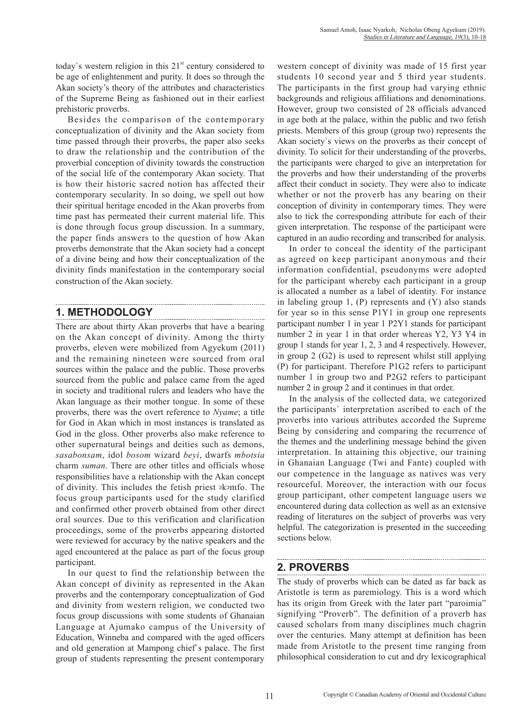today's western religion in this  $21<sup>st</sup>$  century considered to be age of enlightenment and purity. It does so through the Akan society's theory of the attributes and characteristics of the Supreme Being as fashioned out in their earliest prehistoric proverbs.

Besides the comparison of the contemporary conceptualization of divinity and the Akan society from time passed through their proverbs, the paper also seeks to draw the relationship and the contribution of the proverbial conception of divinity towards the construction of the social life of the contemporary Akan society. That is how their historic sacred notion has affected their contemporary secularity. In so doing, we spell out how their spiritual heritage encoded in the Akan proverbs from time past has permeated their current material life. This is done through focus group discussion. In a summary, the paper finds answers to the question of how Akan proverbs demonstrate that the Akan society had a concept of a divine being and how their conceptualization of the divinity finds manifestation in the contemporary social construction of the Akan society.

### **1. METHODOLOGY**

There are about thirty Akan proverbs that have a bearing on the Akan concept of divinity. Among the thirty proverbs, eleven were mobilized from Agyekum (2011) and the remaining nineteen were sourced from oral sources within the palace and the public. Those proverbs sourced from the public and palace came from the aged in society and traditional rulers and leaders who have the Akan language as their mother tongue. In some of these proverbs, there was the overt reference to *Nyame*; a title for God in Akan which in most instances is translated as God in the gloss. Other proverbs also make reference to other supernatural beings and deities such as demons, *sasabonsam*, idol *bosom* wizard *beyi*, dwarfs *mbotsia* charm *suman*. There are other titles and officials whose responsibilities have a relationship with the Akan concept of divinity. This includes the fetish priest ɔkɔmfo. The focus group participants used for the study clarified and confirmed other proverb obtained from other direct oral sources. Due to this verification and clarification proceedings, some of the proverbs appearing distorted were reviewed for accuracy by the native speakers and the aged encountered at the palace as part of the focus group participant.

In our quest to find the relationship between the Akan concept of divinity as represented in the Akan proverbs and the contemporary conceptualization of God and divinity from western religion, we conducted two focus group discussions with some students of Ghanaian Language at Ajumako campus of the University of Education, Winneba and compared with the aged officers and old generation at Mampong chief`s palace. The first group of students representing the present contemporary western concept of divinity was made of 15 first year students 10 second year and 5 third year students. The participants in the first group had varying ethnic backgrounds and religious affiliations and denominations. However, group two consisted of 28 officials advanced in age both at the palace, within the public and two fetish priests. Members of this group (group two) represents the Akan society`s views on the proverbs as their concept of divinity. To solicit for their understanding of the proverbs, the participants were charged to give an interpretation for the proverbs and how their understanding of the proverbs affect their conduct in society. They were also to indicate whether or not the proverb has any bearing on their conception of divinity in contemporary times. They were also to tick the corresponding attribute for each of their given interpretation. The response of the participant were captured in an audio recording and transcribed for analysis.

In order to conceal the identity of the participant as agreed on keep participant anonymous and their information confidential, pseudonyms were adopted for the participant whereby each participant in a group is allocated a number as a label of identity. For instance in labeling group 1, (P) represents and (Y) also stands for year so in this sense P1Y1 in group one represents participant number 1 in year 1 P2Y1 stands for participant number 2 in year 1 in that order whereas Y2, Y3 Y4 in group 1 stands for year 1, 2, 3 and 4 respectively. However, in group 2 (G2) is used to represent whilst still applying (P) for participant. Therefore P1G2 refers to participant number 1 in group two and P2G2 refers to participant number 2 in group 2 and it continues in that order.

In the analysis of the collected data, we categorized the participants` interpretation ascribed to each of the proverbs into various attributes accorded the Supreme Being by considering and comparing the recurrence of the themes and the underlining message behind the given interpretation. In attaining this objective, our training in Ghanaian Language (Twi and Fante) coupled with our competence in the language as natives was very resourceful. Moreover, the interaction with our focus group participant, other competent language users we encountered during data collection as well as an extensive reading of literatures on the subject of proverbs was very helpful. The categorization is presented in the succeeding sections below.

## **2. PROVERBS**

The study of proverbs which can be dated as far back as Aristotle is term as paremiology. This is a word which has its origin from Greek with the later part "paroimia" signifying "Proverb". The definition of a proverb has caused scholars from many disciplines much chagrin over the centuries. Many attempt at definition has been made from Aristotle to the present time ranging from philosophical consideration to cut and dry lexicographical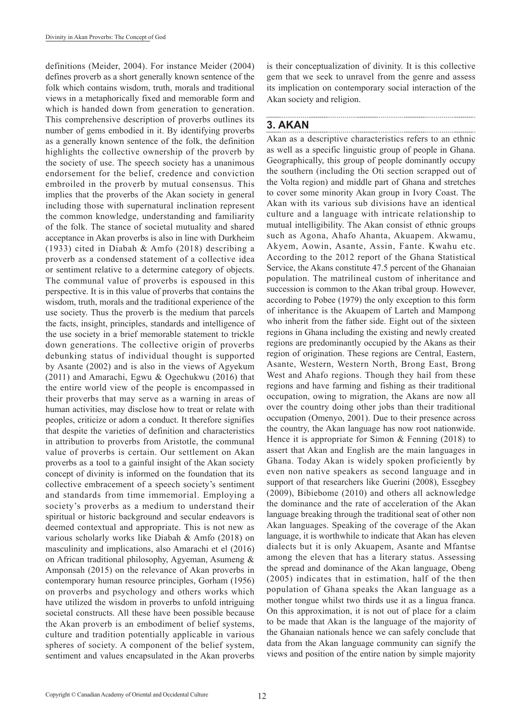definitions (Meider, 2004). For instance Meider (2004) defines proverb as a short generally known sentence of the folk which contains wisdom, truth, morals and traditional views in a metaphorically fixed and memorable form and which is handed down from generation to generation. This comprehensive description of proverbs outlines its number of gems embodied in it. By identifying proverbs as a generally known sentence of the folk, the definition highlights the collective ownership of the proverb by the society of use. The speech society has a unanimous endorsement for the belief, credence and conviction embroiled in the proverb by mutual consensus. This implies that the proverbs of the Akan society in general including those with supernatural inclination represent the common knowledge, understanding and familiarity of the folk. The stance of societal mutuality and shared acceptance in Akan proverbs is also in line with Durkheim (1933) cited in Diabah & Amfo (2018) describing a proverb as a condensed statement of a collective idea or sentiment relative to a determine category of objects. The communal value of proverbs is espoused in this perspective. It is in this value of proverbs that contains the wisdom, truth, morals and the traditional experience of the use society. Thus the proverb is the medium that parcels the facts, insight, principles, standards and intelligence of the use society in a brief memorable statement to trickle down generations. The collective origin of proverbs debunking status of individual thought is supported by Asante (2002) and is also in the views of Agyekum (2011) and Amarachi, Egwu & Ogechukwu (2016) that the entire world view of the people is encompassed in their proverbs that may serve as a warning in areas of human activities, may disclose how to treat or relate with peoples, criticize or adorn a conduct. It therefore signifies that despite the varieties of definition and characteristics in attribution to proverbs from Aristotle, the communal value of proverbs is certain. Our settlement on Akan proverbs as a tool to a gainful insight of the Akan society concept of divinity is informed on the foundation that its collective embracement of a speech society's sentiment and standards from time immemorial. Employing a society's proverbs as a medium to understand their spiritual or historic background and secular endeavors is deemed contextual and appropriate. This is not new as various scholarly works like Diabah & Amfo (2018) on masculinity and implications, also Amarachi et el (2016) on African traditional philosophy, Agyeman, Asumeng & Amponsah (2015) on the relevance of Akan proverbs in contemporary human resource principles, Gorham (1956) on proverbs and psychology and others works which have utilized the wisdom in proverbs to unfold intriguing societal constructs. All these have been possible because the Akan proverb is an embodiment of belief systems, culture and tradition potentially applicable in various spheres of society. A component of the belief system, sentiment and values encapsulated in the Akan proverbs

is their conceptualization of divinity. It is this collective gem that we seek to unravel from the genre and assess its implication on contemporary social interaction of the Akan society and religion.

# **3. AKAN**

Akan as a descriptive characteristics refers to an ethnic as well as a specific linguistic group of people in Ghana. Geographically, this group of people dominantly occupy the southern (including the Oti section scrapped out of the Volta region) and middle part of Ghana and stretches to cover some minority Akan group in Ivory Coast. The Akan with its various sub divisions have an identical culture and a language with intricate relationship to mutual intelligibility. The Akan consist of ethnic groups such as Agona, Ahafo Ahanta, Akuapem. Akwamu, Akyem, Aowin, Asante, Assin, Fante. Kwahu etc. According to the 2012 report of the Ghana Statistical Service, the Akans constitute 47.5 percent of the Ghanaian population. The matrilineal custom of inheritance and succession is common to the Akan tribal group. However, according to Pobee (1979) the only exception to this form of inheritance is the Akuapem of Larteh and Mampong who inherit from the father side. Eight out of the sixteen regions in Ghana including the existing and newly created regions are predominantly occupied by the Akans as their region of origination. These regions are Central, Eastern, Asante, Western, Western North, Brong East, Brong West and Ahafo regions. Though they hail from these regions and have farming and fishing as their traditional occupation, owing to migration, the Akans are now all over the country doing other jobs than their traditional occupation (Omenyo, 2001). Due to their presence across the country, the Akan language has now root nationwide. Hence it is appropriate for Simon & Fenning (2018) to assert that Akan and English are the main languages in Ghana. Today Akan is widely spoken proficiently by even non native speakers as second language and in support of that researchers like Guerini (2008), Essegbey (2009), Bibiebome (2010) and others all acknowledge the dominance and the rate of acceleration of the Akan language breaking through the traditional seat of other non Akan languages. Speaking of the coverage of the Akan language, it is worthwhile to indicate that Akan has eleven dialects but it is only Akuapem, Asante and Mfantse among the eleven that has a literary status. Assessing the spread and dominance of the Akan language, Obeng (2005) indicates that in estimation, half of the then population of Ghana speaks the Akan language as a mother tongue whilst two thirds use it as a lingua franca. On this approximation, it is not out of place for a claim to be made that Akan is the language of the majority of the Ghanaian nationals hence we can safely conclude that data from the Akan language community can signify the views and position of the entire nation by simple majority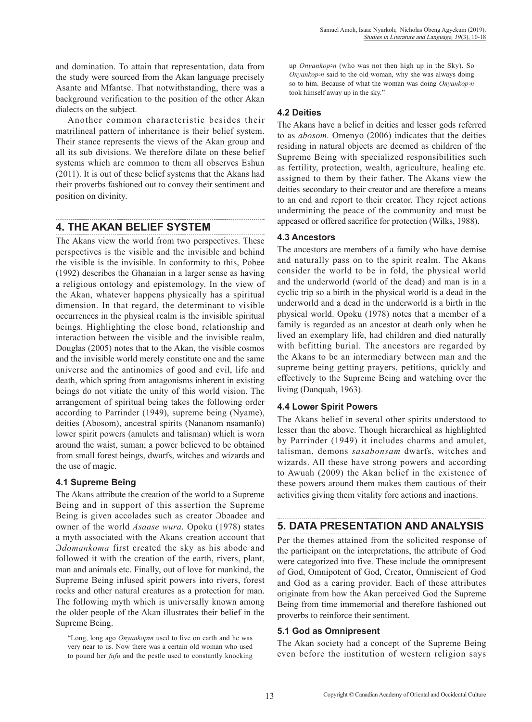and domination. To attain that representation, data from the study were sourced from the Akan language precisely Asante and Mfantse. That notwithstanding, there was a background verification to the position of the other Akan dialects on the subject.

Another common characteristic besides their matrilineal pattern of inheritance is their belief system. Their stance represents the views of the Akan group and all its sub divisions. We therefore dilate on these belief systems which are common to them all observes Eshun (2011). It is out of these belief systems that the Akans had their proverbs fashioned out to convey their sentiment and position on divinity.

### **4. THE AKAN BELIEF SYSTEM**

The Akans view the world from two perspectives. These perspectives is the visible and the invisible and behind the visible is the invisible. In conformity to this, Pobee (1992) describes the Ghanaian in a larger sense as having a religious ontology and epistemology. In the view of the Akan, whatever happens physically has a spiritual dimension. In that regard, the determinant to visible occurrences in the physical realm is the invisible spiritual beings. Highlighting the close bond, relationship and interaction between the visible and the invisible realm, Douglas (2005) notes that to the Akan, the visible cosmos and the invisible world merely constitute one and the same universe and the antinomies of good and evil, life and death, which spring from antagonisms inherent in existing beings do not vitiate the unity of this world vision. The arrangement of spiritual being takes the following order according to Parrinder (1949), supreme being (Nyame), deities (Abosom), ancestral spirits (Nananom nsamanfo) lower spirit powers (amulets and talisman) which is worn around the waist, suman; a power believed to be obtained from small forest beings, dwarfs, witches and wizards and the use of magic.

#### **4.1 Supreme Being**

The Akans attribute the creation of the world to a Supreme Being and in support of this assertion the Supreme Being is given accolades such as creator Oboades and owner of the world *Asaase wura*. Opoku (1978) states a myth associated with the Akans creation account that Ɔ*domankoma* first created the sky as his abode and followed it with the creation of the earth, rivers, plant, man and animals etc. Finally, out of love for mankind, the Supreme Being infused spirit powers into rivers, forest rocks and other natural creatures as a protection for man. The following myth which is universally known among the older people of the Akan illustrates their belief in the Supreme Being.

"Long, long ago *Onyankop*<sub>2</sub>*n* used to live on earth and he was very near to us. Now there was a certain old woman who used to pound her *fufu* and the pestle used to constantly knocking up *Onyankop*<sub>2</sub>*n* (who was not then high up in the Sky). So *Onyankop*<sub>2</sub>*n* said to the old woman, why she was always doing so to him. Because of what the woman was doing *Onyankop*ɔ*n* took himself away up in the sky."

#### **4.2 Deities**

The Akans have a belief in deities and lesser gods referred to as *abosom*. Omenyo (2006) indicates that the deities residing in natural objects are deemed as children of the Supreme Being with specialized responsibilities such as fertility, protection, wealth, agriculture, healing etc. assigned to them by their father. The Akans view the deities secondary to their creator and are therefore a means to an end and report to their creator. They reject actions undermining the peace of the community and must be appeased or offered sacrifice for protection (Wilks, 1988).

#### **4.3 Ancestors**

The ancestors are members of a family who have demise and naturally pass on to the spirit realm. The Akans consider the world to be in fold, the physical world and the underworld (world of the dead) and man is in a cyclic trip so a birth in the physical world is a dead in the underworld and a dead in the underworld is a birth in the physical world. Opoku (1978) notes that a member of a family is regarded as an ancestor at death only when he lived an exemplary life, had children and died naturally with befitting burial. The ancestors are regarded by the Akans to be an intermediary between man and the supreme being getting prayers, petitions, quickly and effectively to the Supreme Being and watching over the living (Danquah, 1963).

#### **4.4 Lower Spirit Powers**

The Akans belief in several other spirits understood to lesser than the above. Though hierarchical as highlighted by Parrinder (1949) it includes charms and amulet, talisman, demons *sasabonsam* dwarfs, witches and wizards. All these have strong powers and according to Awuah (2009) the Akan belief in the existence of these powers around them makes them cautious of their activities giving them vitality fore actions and inactions.

### **5. DATA PRESENTATION AND ANALYSIS**

Per the themes attained from the solicited response of the participant on the interpretations, the attribute of God were categorized into five. These include the omnipresent of God, Omnipotent of God, Creator, Omniscient of God and God as a caring provider. Each of these attributes originate from how the Akan perceived God the Supreme Being from time immemorial and therefore fashioned out proverbs to reinforce their sentiment.

### **5.1 God as Omnipresent**

The Akan society had a concept of the Supreme Being even before the institution of western religion says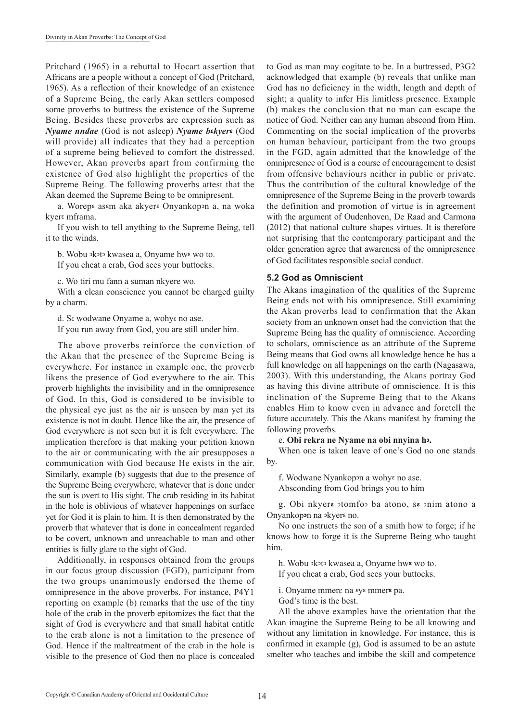Pritchard (1965) in a rebuttal to Hocart assertion that Africans are a people without a concept of God (Pritchard, 1965). As a reflection of their knowledge of an existence of a Supreme Being, the early Akan settlers composed some proverbs to buttress the existence of the Supreme Being. Besides these proverbs are expression such as *Nyame nndae* (God is not asleep) *Nyame b***ɛ***kyer***ɛ** (God will provide) all indicates that they had a perception of a supreme being believed to comfort the distressed. However, Akan proverbs apart from confirming the existence of God also highlight the properties of the Supreme Being. The following proverbs attest that the Akan deemed the Supreme Being to be omnipresent.

a. Worepɛ asɛm aka akyerɛ Onyankopɔn a, na woka kyerɛ mframa.

If you wish to tell anything to the Supreme Being, tell it to the winds.

b. Wobu  $\Phi$ koto kwasea a, Onyame hwe wo to.

If you cheat a crab, God sees your buttocks.

c. Wo tiri mu fann a suman nkyere wo.

With a clean conscience you cannot be charged guilty by a charm.

d. Sε wodwane Onyame a, wohyε no ase.

If you run away from God, you are still under him.

The above proverbs reinforce the conviction of the Akan that the presence of the Supreme Being is everywhere. For instance in example one, the proverb likens the presence of God everywhere to the air. This proverb highlights the invisibility and in the omnipresence of God. In this, God is considered to be invisible to the physical eye just as the air is unseen by man yet its existence is not in doubt. Hence like the air, the presence of God everywhere is not seen but it is felt everywhere. The implication therefore is that making your petition known to the air or communicating with the air presupposes a communication with God because He exists in the air. Similarly, example (b) suggests that due to the presence of the Supreme Being everywhere, whatever that is done under the sun is overt to His sight. The crab residing in its habitat in the hole is oblivious of whatever happenings on surface yet for God it is plain to him. It is then demonstrated by the proverb that whatever that is done in concealment regarded to be covert, unknown and unreachable to man and other entities is fully glare to the sight of God.

Additionally, in responses obtained from the groups in our focus group discussion (FGD), participant from the two groups unanimously endorsed the theme of omnipresence in the above proverbs. For instance, P4Y1 reporting on example (b) remarks that the use of the tiny hole of the crab in the proverb epitomizes the fact that the sight of God is everywhere and that small habitat entitle to the crab alone is not a limitation to the presence of God. Hence if the maltreatment of the crab in the hole is visible to the presence of God then no place is concealed

to God as man may cogitate to be. In a buttressed, P3G2 acknowledged that example (b) reveals that unlike man God has no deficiency in the width, length and depth of sight; a quality to infer His limitless presence. Example (b) makes the conclusion that no man can escape the notice of God. Neither can any human abscond from Him. Commenting on the social implication of the proverbs on human behaviour, participant from the two groups in the FGD, again admitted that the knowledge of the omnipresence of God is a course of encouragement to desist from offensive behaviours neither in public or private. Thus the contribution of the cultural knowledge of the omnipresence of the Supreme Being in the proverb towards the definition and promotion of virtue is in agreement with the argument of Oudenhoven, De Raad and Carmona (2012) that national culture shapes virtues. It is therefore not surprising that the contemporary participant and the older generation agree that awareness of the omnipresence of God facilitates responsible social conduct.

#### **5.2 God as Omniscient**

The Akans imagination of the qualities of the Supreme Being ends not with his omnipresence. Still examining the Akan proverbs lead to confirmation that the Akan society from an unknown onset had the conviction that the Supreme Being has the quality of omniscience. According to scholars, omniscience as an attribute of the Supreme Being means that God owns all knowledge hence he has a full knowledge on all happenings on the earth (Nagasawa, 2003). With this understanding, the Akans portray God as having this divine attribute of omniscience. It is this inclination of the Supreme Being that to the Akans enables Him to know even in advance and foretell the future accurately. This the Akans manifest by framing the following proverbs.

e. **Obi rekra ne Nyame na obi nnyina hɔ.** 

When one is taken leave of one's God no one stands by.

f. Wodwane Nyankop>n a wohye no ase. Absconding from God brings you to him

g. Obi nkyer**ɛ** ɔtomfoɔ ba atono, s**ɛ** ɔnim atono a Onyankop**ɔ**n na ɔkyerɛ no.

No one instructs the son of a smith how to forge; if he knows how to forge it is the Supreme Being who taught him.

h. Wobu ɔkɔtɔ kwasea a, Onyame hw**ɛ** wo to. If you cheat a crab, God sees your buttocks.

i. Onyame mmerɛ na ɛyɛ mmer**ɛ** pa.

God's time is the best.

All the above examples have the orientation that the Akan imagine the Supreme Being to be all knowing and without any limitation in knowledge. For instance, this is confirmed in example (g), God is assumed to be an astute smelter who teaches and imbibe the skill and competence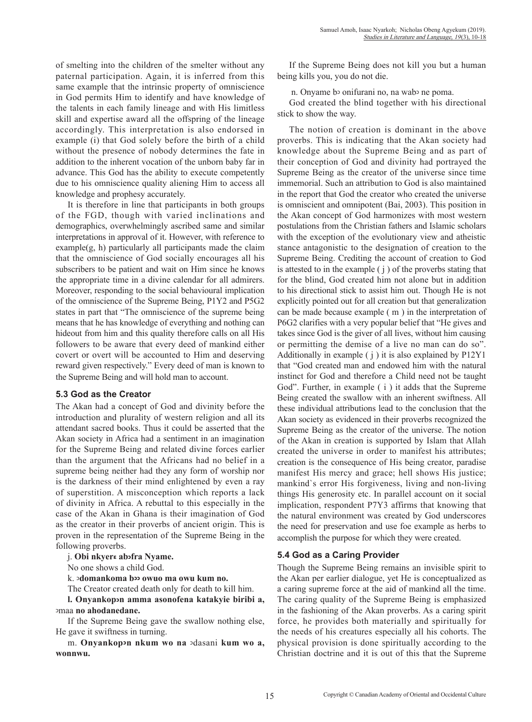of smelting into the children of the smelter without any paternal participation. Again, it is inferred from this same example that the intrinsic property of omniscience in God permits Him to identify and have knowledge of the talents in each family lineage and with His limitless skill and expertise award all the offspring of the lineage accordingly. This interpretation is also endorsed in example (i) that God solely before the birth of a child without the presence of nobody determines the fate in addition to the inherent vocation of the unborn baby far in advance. This God has the ability to execute competently due to his omniscience quality aliening Him to access all knowledge and prophesy accurately.

It is therefore in line that participants in both groups of the FGD, though with varied inclinations and demographics, overwhelmingly ascribed same and similar interpretations in approval of it. However, with reference to example(g, h) particularly all participants made the claim that the omniscience of God socially encourages all his subscribers to be patient and wait on Him since he knows the appropriate time in a divine calendar for all admirers. Moreover, responding to the social behavioural implication of the omniscience of the Supreme Being, P1Y2 and P5G2 states in part that "The omniscience of the supreme being means that he has knowledge of everything and nothing can hideout from him and this quality therefore calls on all His followers to be aware that every deed of mankind either covert or overt will be accounted to Him and deserving reward given respectively." Every deed of man is known to the Supreme Being and will hold man to account.

#### **5.3 God as the Creator**

The Akan had a concept of God and divinity before the introduction and plurality of western religion and all its attendant sacred books. Thus it could be asserted that the Akan society in Africa had a sentiment in an imagination for the Supreme Being and related divine forces earlier than the argument that the Africans had no belief in a supreme being neither had they any form of worship nor is the darkness of their mind enlightened by even a ray of superstition. A misconception which reports a lack of divinity in Africa. A rebuttal to this especially in the case of the Akan in Ghana is their imagination of God as the creator in their proverbs of ancient origin. This is proven in the representation of the Supreme Being in the following proverbs.

j. **Obi nkyerɛ abɔfra Nyame.** 

No one shows a child God.

k. ɔ**domankoma bɔɔ owuo ma owu kum no.** 

The Creator created death only for death to kill him. **l. Onyankopɔn amma asonofena katakyie biribi a,**  ɔmaa **no ahodanedane.** 

If the Supreme Being gave the swallow nothing else, He gave it swiftness in turning.

m. **Onyankopɔn nkum wo na** ɔdasani **kum wo a, wonnwu.** 

If the Supreme Being does not kill you but a human being kills you, you do not die.

n. Onyame bɔ onifurani no, na wabɔ ne poma.

God created the blind together with his directional stick to show the way.

The notion of creation is dominant in the above proverbs. This is indicating that the Akan society had knowledge about the Supreme Being and as part of their conception of God and divinity had portrayed the Supreme Being as the creator of the universe since time immemorial. Such an attribution to God is also maintained in the report that God the creator who created the universe is omniscient and omnipotent (Bai, 2003). This position in the Akan concept of God harmonizes with most western postulations from the Christian fathers and Islamic scholars with the exception of the evolutionary view and atheistic stance antagonistic to the designation of creation to the Supreme Being. Crediting the account of creation to God is attested to in the example ( j ) of the proverbs stating that for the blind, God created him not alone but in addition to his directional stick to assist him out. Though He is not explicitly pointed out for all creation but that generalization can be made because example ( m ) in the interpretation of P6G2 clarifies with a very popular belief that "He gives and takes since God is the giver of all lives, without him causing or permitting the demise of a live no man can do so". Additionally in example ( j ) it is also explained by P12Y1 that "God created man and endowed him with the natural instinct for God and therefore a Child need not be taught God". Further, in example ( i ) it adds that the Supreme Being created the swallow with an inherent swiftness. All these individual attributions lead to the conclusion that the Akan society as evidenced in their proverbs recognized the Supreme Being as the creator of the universe. The notion of the Akan in creation is supported by Islam that Allah created the universe in order to manifest his attributes; creation is the consequence of His being creator, paradise manifest His mercy and grace; hell shows His justice; mankind`s error His forgiveness, living and non-living things His generosity etc. In parallel account on it social implication, respondent P7Y3 affirms that knowing that the natural environment was created by God underscores the need for preservation and use foe example as herbs to accomplish the purpose for which they were created.

#### **5.4 God as a Caring Provider**

Though the Supreme Being remains an invisible spirit to the Akan per earlier dialogue, yet He is conceptualized as a caring supreme force at the aid of mankind all the time. The caring quality of the Supreme Being is emphasized in the fashioning of the Akan proverbs. As a caring spirit force, he provides both materially and spiritually for the needs of his creatures especially all his cohorts. The physical provision is done spiritually according to the Christian doctrine and it is out of this that the Supreme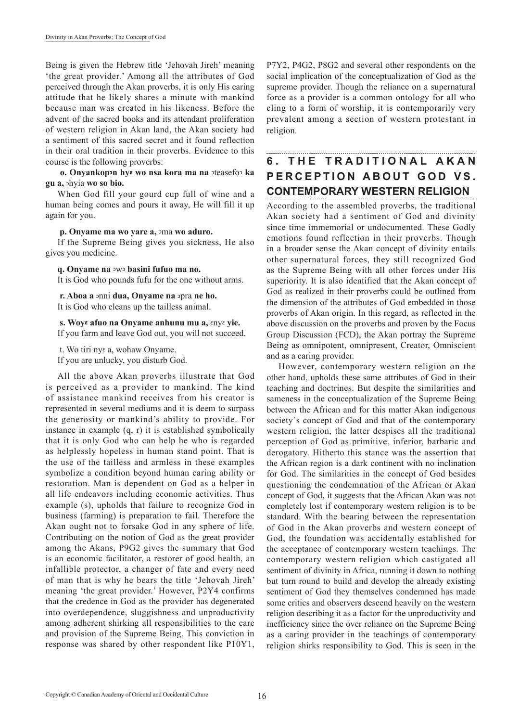Being is given the Hebrew title 'Jehovah Jireh' meaning 'the great provider.' Among all the attributes of God perceived through the Akan proverbs, it is only His caring attitude that he likely shares a minute with mankind because man was created in his likeness. Before the advent of the sacred books and its attendant proliferation of western religion in Akan land, the Akan society had a sentiment of this sacred secret and it found reflection in their oral tradition in their proverbs. Evidence to this course is the following proverbs:

 **o. Onyankopɔn hyɛ wo nsa kora ma na** ɔteasefoɔ **ka gu a,** ɔhyia **wo so bio.** 

When God fill your gourd cup full of wine and a human being comes and pours it away, He will fill it up again for you.

#### **p. Onyame ma wo yare a,** ɔma **wo aduro.**

If the Supreme Being gives you sickness, He also gives you medicine.

**q. Onyame na** ɔwɔ **basini fufuo ma no.** 

It is God who pounds fufu for the one without arms.

 **r. Aboa a** ɔnni **dua, Onyame na** ɔpra **ne ho.**  It is God who cleans up the tailless animal.

 **s. Woyɛ afuo na Onyame anhunu mu a,** ɛnyɛ **yie.**  If you farm and leave God out, you will not succeed.

t. Wo tiri nyɛ a, wohaw Onyame.

If you are unlucky, you disturb God.

All the above Akan proverbs illustrate that God is perceived as a provider to mankind. The kind of assistance mankind receives from his creator is represented in several mediums and it is deem to surpass the generosity or mankind's ability to provide. For instance in example (q, r) it is established symbolically that it is only God who can help he who is regarded as helplessly hopeless in human stand point. That is the use of the tailless and armless in these examples symbolize a condition beyond human caring ability or restoration. Man is dependent on God as a helper in all life endeavors including economic activities. Thus example (s), upholds that failure to recognize God in business (farming) is preparation to fail. Therefore the Akan ought not to forsake God in any sphere of life. Contributing on the notion of God as the great provider among the Akans, P9G2 gives the summary that God is an economic facilitator, a restorer of good health, an infallible protector, a changer of fate and every need of man that is why he bears the title 'Jehovah Jireh' meaning 'the great provider.' However, P2Y4 confirms that the credence in God as the provider has degenerated into overdependence, sluggishness and unproductivity among adherent shirking all responsibilities to the care and provision of the Supreme Being. This conviction in response was shared by other respondent like P10Y1, P7Y2, P4G2, P8G2 and several other respondents on the social implication of the conceptualization of God as the supreme provider. Though the reliance on a supernatural force as a provider is a common ontology for all who cling to a form of worship, it is contemporarily very prevalent among a section of western protestant in religion.

# **FHE TRADITIONAL AKAN PERCEPTION ABOUT GOD VS. CONTEMPORARY WESTERN RELIGION**

According to the assembled proverbs, the traditional Akan society had a sentiment of God and divinity since time immemorial or undocumented. These Godly emotions found reflection in their proverbs. Though in a broader sense the Akan concept of divinity entails other supernatural forces, they still recognized God as the Supreme Being with all other forces under His superiority. It is also identified that the Akan concept of God as realized in their proverbs could be outlined from the dimension of the attributes of God embedded in those proverbs of Akan origin. In this regard, as reflected in the above discussion on the proverbs and proven by the Focus Group Discussion (FCD), the Akan portray the Supreme Being as omnipotent, omnipresent, Creator, Omniscient and as a caring provider.

However, contemporary western religion on the other hand, upholds these same attributes of God in their teaching and doctrines. But despite the similarities and sameness in the conceptualization of the Supreme Being between the African and for this matter Akan indigenous society`s concept of God and that of the contemporary western religion, the latter despises all the traditional perception of God as primitive, inferior, barbaric and derogatory. Hitherto this stance was the assertion that the African region is a dark continent with no inclination for God. The similarities in the concept of God besides questioning the condemnation of the African or Akan concept of God, it suggests that the African Akan was not completely lost if contemporary western religion is to be standard. With the bearing between the representation of God in the Akan proverbs and western concept of God, the foundation was accidentally established for the acceptance of contemporary western teachings. The contemporary western religion which castigated all sentiment of divinity in Africa, running it down to nothing but turn round to build and develop the already existing sentiment of God they themselves condemned has made some critics and observers descend heavily on the western religion describing it as a factor for the unproductivity and inefficiency since the over reliance on the Supreme Being as a caring provider in the teachings of contemporary religion shirks responsibility to God. This is seen in the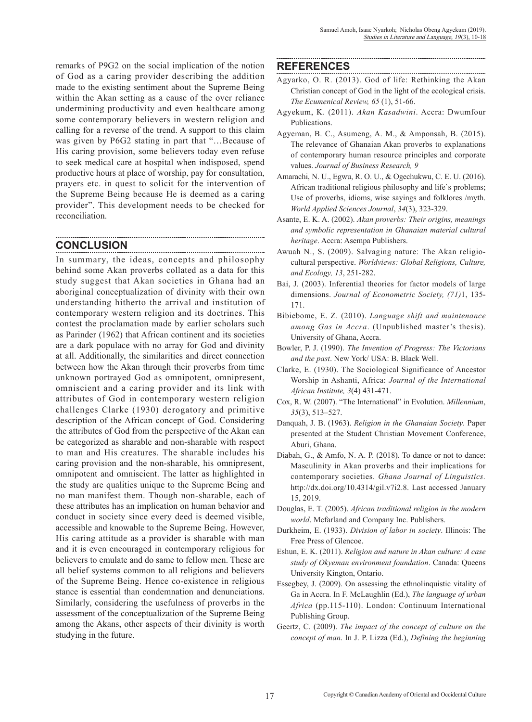remarks of P9G2 on the social implication of the notion of God as a caring provider describing the addition made to the existing sentiment about the Supreme Being within the Akan setting as a cause of the over reliance undermining productivity and even healthcare among some contemporary believers in western religion and calling for a reverse of the trend. A support to this claim was given by P6G2 stating in part that "…Because of His caring provision, some believers today even refuse to seek medical care at hospital when indisposed, spend productive hours at place of worship, pay for consultation, prayers etc. in quest to solicit for the intervention of the Supreme Being because He is deemed as a caring provider". This development needs to be checked for reconciliation.

### **CONCLUSION**

In summary, the ideas, concepts and philosophy behind some Akan proverbs collated as a data for this study suggest that Akan societies in Ghana had an aboriginal conceptualization of divinity with their own understanding hitherto the arrival and institution of contemporary western religion and its doctrines. This contest the proclamation made by earlier scholars such as Parinder (1962) that African continent and its societies are a dark populace with no array for God and divinity at all. Additionally, the similarities and direct connection between how the Akan through their proverbs from time unknown portrayed God as omnipotent, omnipresent, omniscient and a caring provider and its link with attributes of God in contemporary western religion challenges Clarke (1930) derogatory and primitive description of the African concept of God. Considering the attributes of God from the perspective of the Akan can be categorized as sharable and non-sharable with respect to man and His creatures. The sharable includes his caring provision and the non-sharable, his omnipresent, omnipotent and omniscient. The latter as highlighted in the study are qualities unique to the Supreme Being and no man manifest them. Though non-sharable, each of these attributes has an implication on human behavior and conduct in society since every deed is deemed visible, accessible and knowable to the Supreme Being. However, His caring attitude as a provider is sharable with man and it is even encouraged in contemporary religious for believers to emulate and do same to fellow men. These are all belief systems common to all religions and believers of the Supreme Being. Hence co-existence in religious stance is essential than condemnation and denunciations. Similarly, considering the usefulness of proverbs in the assessment of the conceptualization of the Supreme Being among the Akans, other aspects of their divinity is worth studying in the future.

### **REFERENCES**

- Agyarko, O. R. (2013). God of life: Rethinking the Akan Christian concept of God in the light of the ecological crisis. *The Ecumenical Review, 65* (1), 51-66.
- Agyekum, K. (2011). *Akan Kasadwini*. Accra: Dwumfour Publications.
- Agyeman, B. C., Asumeng, A. M., & Amponsah, B. (2015). The relevance of Ghanaian Akan proverbs to explanations of contemporary human resource principles and corporate values. *Journal of Business Research, 9*
- Amarachi, N. U., Egwu, R. O. U., & Ogechukwu, C. E. U. (2016). African traditional religious philosophy and life`s problems; Use of proverbs, idioms, wise sayings and folklores /myth. *World Applied Sciences Journal*, *34*(3), 323-329.
- Asante, E. K. A. (2002). *Akan proverbs: Their origins, meanings and symbolic representation in Ghanaian material cultural heritage*. Accra: Asempa Publishers.
- Awuah N., S. (2009). Salvaging nature: The Akan religiocultural perspective. *Worldviews: Global Religions, Culture, and Ecology, 13*, 251-282.
- Bai, J. (2003). Inferential theories for factor models of large dimensions. *Journal of Econometric Society, (71)*1, 135- 171.
- Bibiebome, E. Z. (2010). *Language shift and maintenance among Gas in Accra*. (Unpublished master's thesis). University of Ghana, Accra.
- Bowler, P. J. (1990). *The Invention of Progress: The Victorians and the past*. New York/ USA: B. Black Well.
- Clarke, E. (1930). The Sociological Significance of Ancestor Worship in Ashanti, Africa: *Journal of the International African Institute, 3*(4) 431-471.
- Cox, R. W. (2007). "The International" in Evolution. *Millennium*, *35*(3), 513–527.
- Danquah, J. B. (1963). *Religion in the Ghanaian Society*. Paper presented at the Student Christian Movement Conference, Aburi, Ghana.
- Diabah, G., & Amfo, N. A. P. (2018). To dance or not to dance: Masculinity in Akan proverbs and their implications for contemporary societies. *Ghana Journal of Linguistics.* http://dx.doi.org/10.4314/gil.v7i2.8. Last accessed January 15, 2019.
- Douglas, E. T. (2005). *African traditional religion in the modern world*. Mcfarland and Company Inc. Publishers.
- Durkheim, E. (1933). *Division of labor in society*. Illinois: The Free Press of Glencoe.
- Eshun, E. K. (2011). *Religion and nature in Akan culture: A case study of Okyeman environment foundation*. Canada: Queens University Kington, Ontario.
- Essegbey, J. (2009). On assessing the ethnolinquistic vitality of Ga in Accra. In F. McLaughlin (Ed.), *The language of urban Africa* (pp.115-110). London: Continuum International Publishing Group.
- Geertz, C. (2009). *The impact of the concept of culture on the concept of man*. In J. P. Lizza (Ed.), *Defining the beginning*